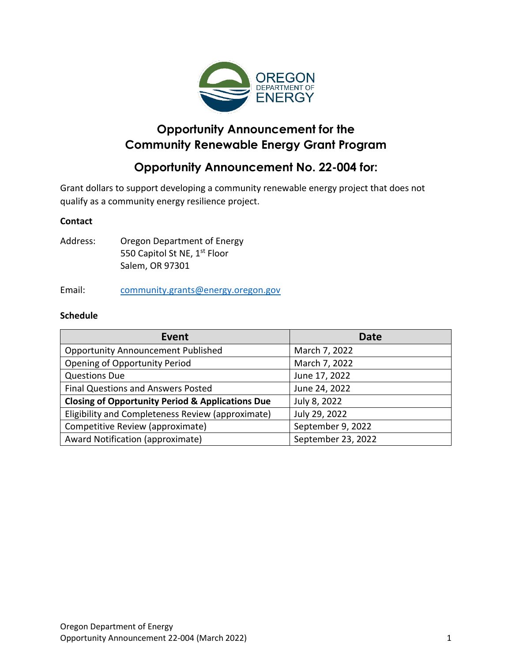

# **Opportunity Announcement for the Community Renewable Energy Grant Program**

# **Opportunity Announcement No. 22-004 for:**

Grant dollars to support developing a community renewable energy project that does not qualify as a community energy resilience project.

#### **Contact**

Address: Oregon Department of Energy 550 Capitol St NE, 1<sup>st</sup> Floor Salem, OR 97301

Email: [community.grants@energy.oregon.gov](mailto:community.grants@energy.oregon.gov)

#### **Schedule**

| <b>Event</b>                                                | <b>Date</b>        |
|-------------------------------------------------------------|--------------------|
| <b>Opportunity Announcement Published</b>                   | March 7, 2022      |
| <b>Opening of Opportunity Period</b>                        | March 7, 2022      |
| <b>Questions Due</b>                                        | June 17, 2022      |
| Final Questions and Answers Posted                          | June 24, 2022      |
| <b>Closing of Opportunity Period &amp; Applications Due</b> | July 8, 2022       |
| Eligibility and Completeness Review (approximate)           | July 29, 2022      |
| Competitive Review (approximate)                            | September 9, 2022  |
| Award Notification (approximate)                            | September 23, 2022 |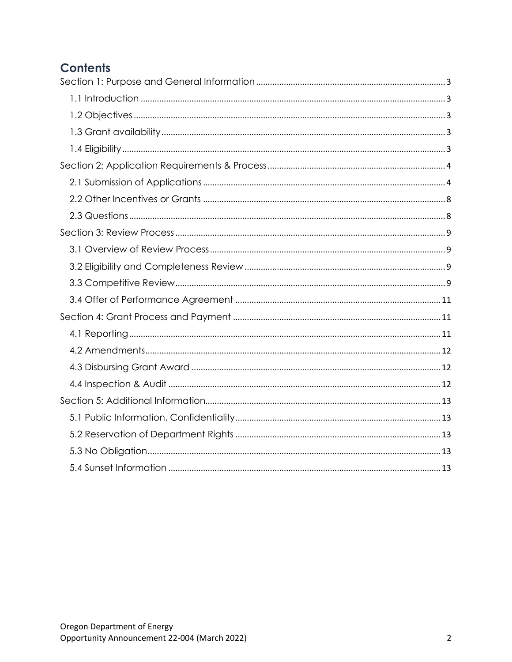# **Contents**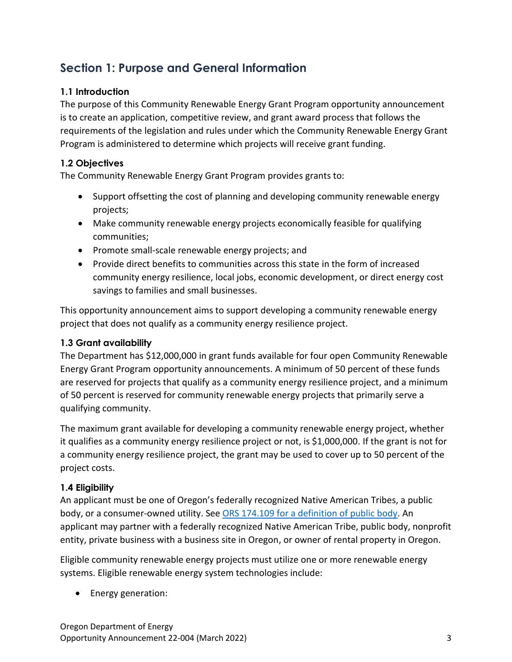# <span id="page-2-0"></span>**Section 1: Purpose and General Information**

# <span id="page-2-1"></span>**1.1 Introduction**

The purpose of this Community Renewable Energy Grant Program opportunity announcement is to create an application, competitive review, and grant award process that follows the requirements of the legislation and rules under which the Community Renewable Energy Grant Program is administered to determine which projects will receive grant funding.

# <span id="page-2-2"></span>**1.2 Objectives**

The Community Renewable Energy Grant Program provides grants to:

- Support offsetting the cost of planning and developing community renewable energy projects;
- Make community renewable energy projects economically feasible for qualifying communities;
- Promote small-scale renewable energy projects; and
- Provide direct benefits to communities across this state in the form of increased community energy resilience, local jobs, economic development, or direct energy cost savings to families and small businesses.

This opportunity announcement aims to support developing a community renewable energy project that does not qualify as a community energy resilience project.

# <span id="page-2-3"></span>**1.3 Grant availability**

The Department has \$12,000,000 in grant funds available for four open Community Renewable Energy Grant Program opportunity announcements. A minimum of 50 percent of these funds are reserved for projects that qualify as a community energy resilience project, and a minimum of 50 percent is reserved for community renewable energy projects that primarily serve a qualifying community.

The maximum grant available for developing a community renewable energy project, whether it qualifies as a community energy resilience project or not, is \$1,000,000. If the grant is not for a community energy resilience project, the grant may be used to cover up to 50 percent of the project costs.

# <span id="page-2-4"></span>**1.4 Eligibility**

An applicant must be one of Oregon's federally recognized Native American Tribes, a public body, or a consumer-owned utility. See [ORS 174.109 for a definition of public body.](https://www.oregonlegislature.gov/bills_laws/ors/ors174.html#:~:text=174.109%20%E2%80%9CPublic%20body%E2%80%9D%20defined.%20Subject%20to%20ORS%20174.108%2C%20as%20used%20in%20the%20statutes%20of%20this%20state%20%E2%80%9Cpublic%20body%E2%80%9D%20means%20state%20government%20bodies%2C%20local%20government%20bodies%20and%20special%20government%20bodies.%20%5B2001%20c.74%20%C2%A72%5D) An applicant may partner with a federally recognized Native American Tribe, public body, nonprofit entity, private business with a business site in Oregon, or owner of rental property in Oregon.

Eligible community renewable energy projects must utilize one or more renewable energy systems. Eligible renewable energy system technologies include:

• Energy generation: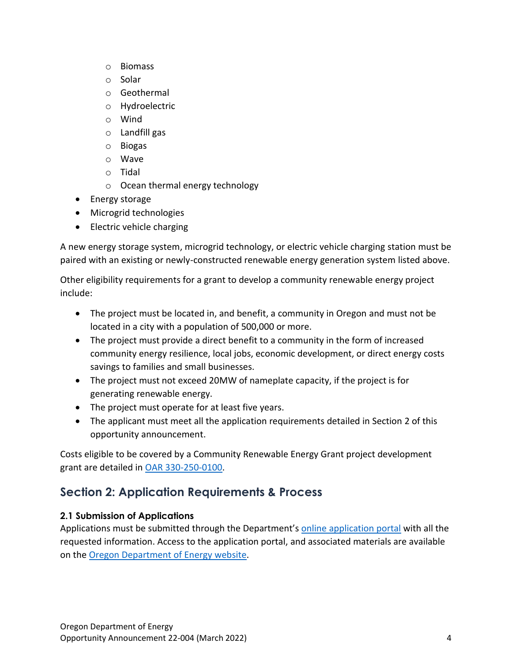- o Biomass
- o Solar
- o Geothermal
- o Hydroelectric
- o Wind
- o Landfill gas
- o Biogas
- o Wave
- o Tidal
- o Ocean thermal energy technology
- Energy storage
- Microgrid technologies
- Electric vehicle charging

A new energy storage system, microgrid technology, or electric vehicle charging station must be paired with an existing or newly-constructed renewable energy generation system listed above.

Other eligibility requirements for a grant to develop a community renewable energy project include:

- The project must be located in, and benefit, a community in Oregon and must not be located in a city with a population of 500,000 or more.
- The project must provide a direct benefit to a community in the form of increased community energy resilience, local jobs, economic development, or direct energy costs savings to families and small businesses.
- The project must not exceed 20MW of nameplate capacity, if the project is for generating renewable energy.
- The project must operate for at least five years.
- The applicant must meet all the application requirements detailed in Section 2 of this opportunity announcement.

Costs eligible to be covered by a Community Renewable Energy Grant project development grant are detailed in [OAR 330-250-0100.](https://secure.sos.state.or.us/oard/viewSingleRule.action?ruleVrsnRsn=286912)

# <span id="page-3-0"></span>**Section 2: Application Requirements & Process**

# <span id="page-3-1"></span>**2.1 Submission of Applications**

Applications must be submitted through the Department's online [application portal](https://odoe.powerappsportals.us/en-US/crephome) with all the requested information. Access to the application portal, and associated materials are available on the [Oregon Department of Energy](https://www.oregon.gov/energy/Incentives/Pages/CREP.aspx) website.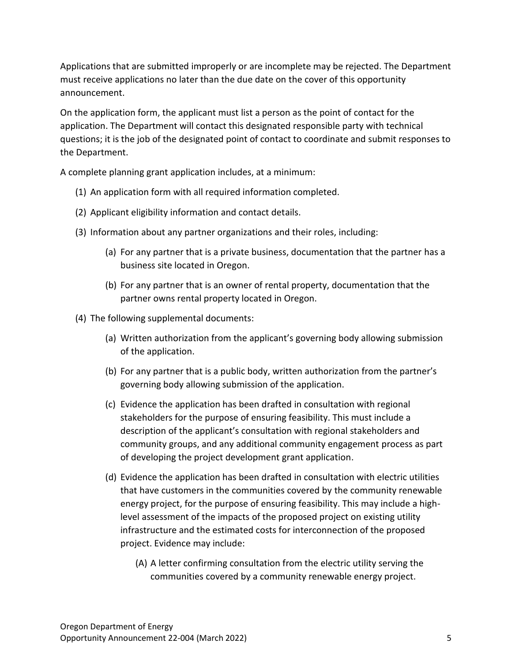Applications that are submitted improperly or are incomplete may be rejected. The Department must receive applications no later than the due date on the cover of this opportunity announcement.

On the application form, the applicant must list a person as the point of contact for the application. The Department will contact this designated responsible party with technical questions; it is the job of the designated point of contact to coordinate and submit responses to the Department.

A complete planning grant application includes, at a minimum:

- (1) An application form with all required information completed.
- (2) Applicant eligibility information and contact details.
- (3) Information about any partner organizations and their roles, including:
	- (a) For any partner that is a private business, documentation that the partner has a business site located in Oregon.
	- (b) For any partner that is an owner of rental property, documentation that the partner owns rental property located in Oregon.
- (4) The following supplemental documents:
	- (a) Written authorization from the applicant's governing body allowing submission of the application.
	- (b) For any partner that is a public body, written authorization from the partner's governing body allowing submission of the application.
	- (c) Evidence the application has been drafted in consultation with regional stakeholders for the purpose of ensuring feasibility. This must include a description of the applicant's consultation with regional stakeholders and community groups, and any additional community engagement process as part of developing the project development grant application.
	- (d) Evidence the application has been drafted in consultation with electric utilities that have customers in the communities covered by the community renewable energy project, for the purpose of ensuring feasibility. This may include a highlevel assessment of the impacts of the proposed project on existing utility infrastructure and the estimated costs for interconnection of the proposed project. Evidence may include:
		- (A) A letter confirming consultation from the electric utility serving the communities covered by a community renewable energy project.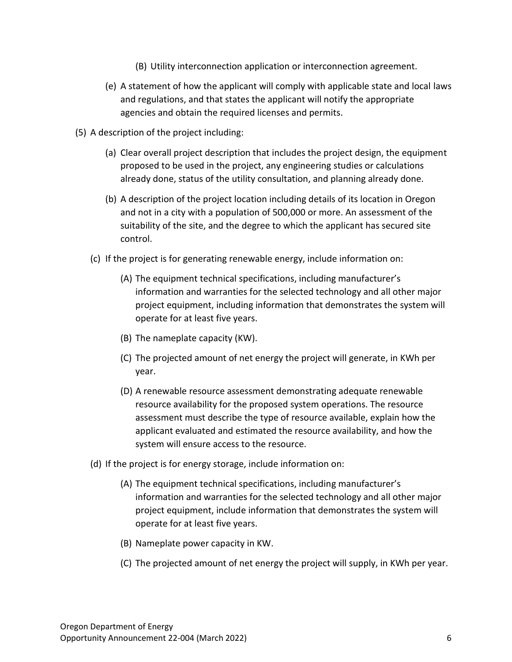- (B) Utility interconnection application or interconnection agreement.
- (e) A statement of how the applicant will comply with applicable state and local laws and regulations, and that states the applicant will notify the appropriate agencies and obtain the required licenses and permits.
- (5) A description of the project including:
	- (a) Clear overall project description that includes the project design, the equipment proposed to be used in the project, any engineering studies or calculations already done, status of the utility consultation, and planning already done.
	- (b) A description of the project location including details of its location in Oregon and not in a city with a population of 500,000 or more. An assessment of the suitability of the site, and the degree to which the applicant has secured site control.
	- (c) If the project is for generating renewable energy, include information on:
		- (A) The equipment technical specifications, including manufacturer's information and warranties for the selected technology and all other major project equipment, including information that demonstrates the system will operate for at least five years.
		- (B) The nameplate capacity (KW).
		- (C) The projected amount of net energy the project will generate, in KWh per year.
		- (D) A renewable resource assessment demonstrating adequate renewable resource availability for the proposed system operations. The resource assessment must describe the type of resource available, explain how the applicant evaluated and estimated the resource availability, and how the system will ensure access to the resource.
	- (d) If the project is for energy storage, include information on:
		- (A) The equipment technical specifications, including manufacturer's information and warranties for the selected technology and all other major project equipment, include information that demonstrates the system will operate for at least five years.
		- (B) Nameplate power capacity in KW.
		- (C) The projected amount of net energy the project will supply, in KWh per year.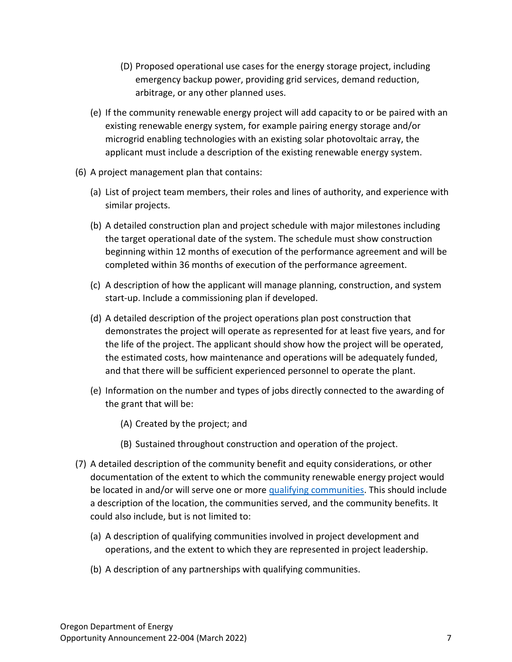- (D) Proposed operational use cases for the energy storage project, including emergency backup power, providing grid services, demand reduction, arbitrage, or any other planned uses.
- (e) If the community renewable energy project will add capacity to or be paired with an existing renewable energy system, for example pairing energy storage and/or microgrid enabling technologies with an existing solar photovoltaic array, the applicant must include a description of the existing renewable energy system.
- (6) A project management plan that contains:
	- (a) List of project team members, their roles and lines of authority, and experience with similar projects.
	- (b) A detailed construction plan and project schedule with major milestones including the target operational date of the system. The schedule must show construction beginning within 12 months of execution of the performance agreement and will be completed within 36 months of execution of the performance agreement.
	- (c) A description of how the applicant will manage planning, construction, and system start-up. Include a commissioning plan if developed.
	- (d) A detailed description of the project operations plan post construction that demonstrates the project will operate as represented for at least five years, and for the life of the project. The applicant should show how the project will be operated, the estimated costs, how maintenance and operations will be adequately funded, and that there will be sufficient experienced personnel to operate the plant.
	- (e) Information on the number and types of jobs directly connected to the awarding of the grant that will be:
		- (A) Created by the project; and
		- (B) Sustained throughout construction and operation of the project.
- (7) A detailed description of the community benefit and equity considerations, or other documentation of the extent to which the community renewable energy project would be located in and/or will serve one or more [qualifying communities.](https://www.oregonlegislature.gov/bills_laws/ors/ors470.html#:~:text=(9)%20%E2%80%9CQualifying%20community%E2%80%9D%20means%20a%20community%20that%20qualifies%20as%20an%20environmental%20justice%20community%20as%20defined%20in%20section%201%20of%20this%202021%20Act%20%5B469A.400%5D.) This should include a description of the location, the communities served, and the community benefits. It could also include, but is not limited to:
	- (a) A description of qualifying communities involved in project development and operations, and the extent to which they are represented in project leadership.
	- (b) A description of any partnerships with qualifying communities.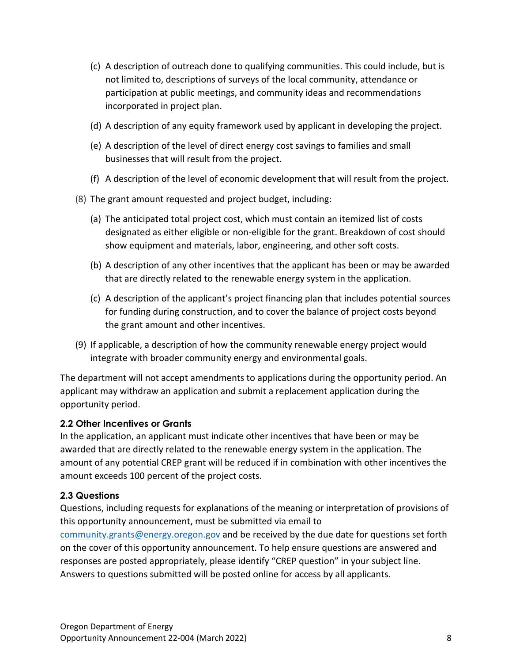- (c) A description of outreach done to qualifying communities. This could include, but is not limited to, descriptions of surveys of the local community, attendance or participation at public meetings, and community ideas and recommendations incorporated in project plan.
- (d) A description of any equity framework used by applicant in developing the project.
- (e) A description of the level of direct energy cost savings to families and small businesses that will result from the project.
- (f) A description of the level of economic development that will result from the project.
- (8) The grant amount requested and project budget, including:
	- (a) The anticipated total project cost, which must contain an itemized list of costs designated as either eligible or non-eligible for the grant. Breakdown of cost should show equipment and materials, labor, engineering, and other soft costs.
	- (b) A description of any other incentives that the applicant has been or may be awarded that are directly related to the renewable energy system in the application.
	- (c) A description of the applicant's project financing plan that includes potential sources for funding during construction, and to cover the balance of project costs beyond the grant amount and other incentives.
- (9) If applicable, a description of how the community renewable energy project would integrate with broader community energy and environmental goals.

The department will not accept amendments to applications during the opportunity period. An applicant may withdraw an application and submit a replacement application during the opportunity period.

#### <span id="page-7-0"></span>**2.2 Other Incentives or Grants**

In the application, an applicant must indicate other incentives that have been or may be awarded that are directly related to the renewable energy system in the application. The amount of any potential CREP grant will be reduced if in combination with other incentives the amount exceeds 100 percent of the project costs.

#### <span id="page-7-1"></span>**2.3 Questions**

Questions, including requests for explanations of the meaning or interpretation of provisions of this opportunity announcement, must be submitted via email to [community.grants@energy.oregon.gov](mailto:community.grants@energy.oregon.gov) and be received by the due date for questions set forth on the cover of this opportunity announcement. To help ensure questions are answered and responses are posted appropriately, please identify "CREP question" in your subject line. Answers to questions submitted will be posted online for access by all applicants.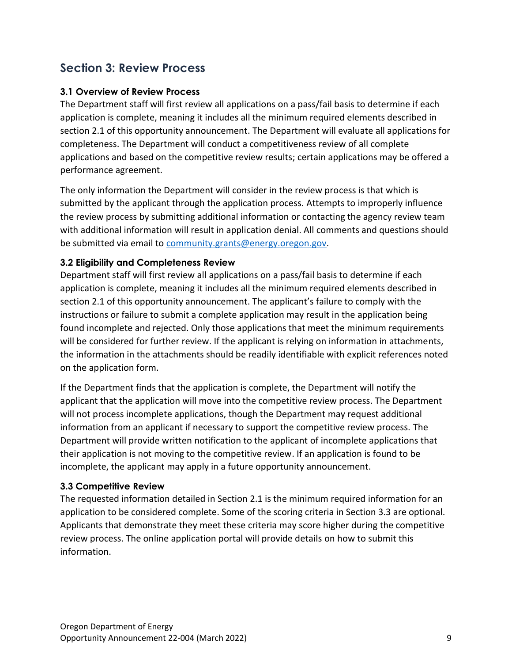# <span id="page-8-0"></span>**Section 3: Review Process**

### <span id="page-8-1"></span>**3.1 Overview of Review Process**

The Department staff will first review all applications on a pass/fail basis to determine if each application is complete, meaning it includes all the minimum required elements described in section 2.1 of this opportunity announcement. The Department will evaluate all applications for completeness. The Department will conduct a competitiveness review of all complete applications and based on the competitive review results; certain applications may be offered a performance agreement.

The only information the Department will consider in the review process is that which is submitted by the applicant through the application process. Attempts to improperly influence the review process by submitting additional information or contacting the agency review team with additional information will result in application denial. All comments and questions should be submitted via email to [community.grants@energy.oregon.gov.](mailto:community.grants@energy.oregon.gov)

#### <span id="page-8-2"></span>**3.2 Eligibility and Completeness Review**

Department staff will first review all applications on a pass/fail basis to determine if each application is complete, meaning it includes all the minimum required elements described in section 2.1 of this opportunity announcement. The applicant's failure to comply with the instructions or failure to submit a complete application may result in the application being found incomplete and rejected. Only those applications that meet the minimum requirements will be considered for further review. If the applicant is relying on information in attachments, the information in the attachments should be readily identifiable with explicit references noted on the application form.

If the Department finds that the application is complete, the Department will notify the applicant that the application will move into the competitive review process. The Department will not process incomplete applications, though the Department may request additional information from an applicant if necessary to support the competitive review process. The Department will provide written notification to the applicant of incomplete applications that their application is not moving to the competitive review. If an application is found to be incomplete, the applicant may apply in a future opportunity announcement.

#### <span id="page-8-3"></span>**3.3 Competitive Review**

The requested information detailed in Section 2.1 is the minimum required information for an application to be considered complete. Some of the scoring criteria in Section 3.3 are optional. Applicants that demonstrate they meet these criteria may score higher during the competitive review process. The online application portal will provide details on how to submit this information.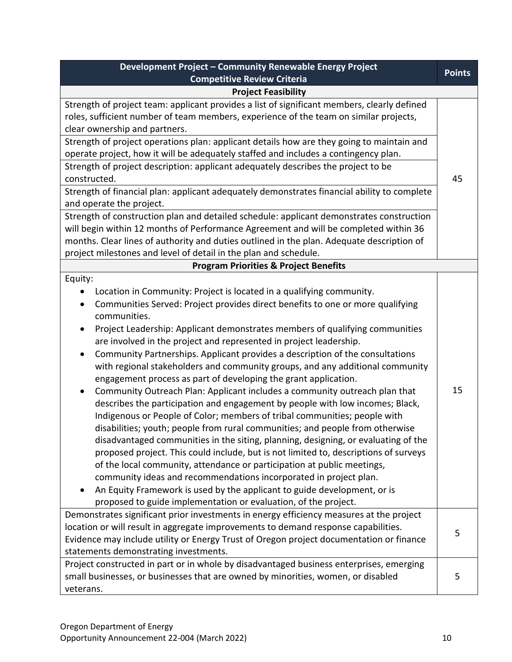| Development Project - Community Renewable Energy Project                                                                                                                                                                                                                                                                                                                                                                                                                                                                                                                                                                                                                                                                                                                                                                                                                                                                                                                                                                                                                                                                                                                                                                                                                                                                                                                                                              |               |
|-----------------------------------------------------------------------------------------------------------------------------------------------------------------------------------------------------------------------------------------------------------------------------------------------------------------------------------------------------------------------------------------------------------------------------------------------------------------------------------------------------------------------------------------------------------------------------------------------------------------------------------------------------------------------------------------------------------------------------------------------------------------------------------------------------------------------------------------------------------------------------------------------------------------------------------------------------------------------------------------------------------------------------------------------------------------------------------------------------------------------------------------------------------------------------------------------------------------------------------------------------------------------------------------------------------------------------------------------------------------------------------------------------------------------|---------------|
| <b>Competitive Review Criteria</b>                                                                                                                                                                                                                                                                                                                                                                                                                                                                                                                                                                                                                                                                                                                                                                                                                                                                                                                                                                                                                                                                                                                                                                                                                                                                                                                                                                                    | <b>Points</b> |
| <b>Project Feasibility</b>                                                                                                                                                                                                                                                                                                                                                                                                                                                                                                                                                                                                                                                                                                                                                                                                                                                                                                                                                                                                                                                                                                                                                                                                                                                                                                                                                                                            |               |
| Strength of project team: applicant provides a list of significant members, clearly defined<br>roles, sufficient number of team members, experience of the team on similar projects,<br>clear ownership and partners.                                                                                                                                                                                                                                                                                                                                                                                                                                                                                                                                                                                                                                                                                                                                                                                                                                                                                                                                                                                                                                                                                                                                                                                                 |               |
| Strength of project operations plan: applicant details how are they going to maintain and<br>operate project, how it will be adequately staffed and includes a contingency plan.                                                                                                                                                                                                                                                                                                                                                                                                                                                                                                                                                                                                                                                                                                                                                                                                                                                                                                                                                                                                                                                                                                                                                                                                                                      |               |
| Strength of project description: applicant adequately describes the project to be<br>constructed.                                                                                                                                                                                                                                                                                                                                                                                                                                                                                                                                                                                                                                                                                                                                                                                                                                                                                                                                                                                                                                                                                                                                                                                                                                                                                                                     |               |
| Strength of financial plan: applicant adequately demonstrates financial ability to complete<br>and operate the project.                                                                                                                                                                                                                                                                                                                                                                                                                                                                                                                                                                                                                                                                                                                                                                                                                                                                                                                                                                                                                                                                                                                                                                                                                                                                                               |               |
| Strength of construction plan and detailed schedule: applicant demonstrates construction<br>will begin within 12 months of Performance Agreement and will be completed within 36<br>months. Clear lines of authority and duties outlined in the plan. Adequate description of<br>project milestones and level of detail in the plan and schedule.                                                                                                                                                                                                                                                                                                                                                                                                                                                                                                                                                                                                                                                                                                                                                                                                                                                                                                                                                                                                                                                                     |               |
| <b>Program Priorities &amp; Project Benefits</b>                                                                                                                                                                                                                                                                                                                                                                                                                                                                                                                                                                                                                                                                                                                                                                                                                                                                                                                                                                                                                                                                                                                                                                                                                                                                                                                                                                      |               |
| Equity:<br>Location in Community: Project is located in a qualifying community.<br>Communities Served: Project provides direct benefits to one or more qualifying<br>٠<br>communities.<br>Project Leadership: Applicant demonstrates members of qualifying communities<br>$\bullet$<br>are involved in the project and represented in project leadership.<br>Community Partnerships. Applicant provides a description of the consultations<br>$\bullet$<br>with regional stakeholders and community groups, and any additional community<br>engagement process as part of developing the grant application.<br>Community Outreach Plan: Applicant includes a community outreach plan that<br>describes the participation and engagement by people with low incomes; Black,<br>Indigenous or People of Color; members of tribal communities; people with<br>disabilities; youth; people from rural communities; and people from otherwise<br>disadvantaged communities in the siting, planning, designing, or evaluating of the<br>proposed project. This could include, but is not limited to, descriptions of surveys<br>of the local community, attendance or participation at public meetings,<br>community ideas and recommendations incorporated in project plan.<br>An Equity Framework is used by the applicant to guide development, or is<br>proposed to guide implementation or evaluation, of the project. | 15            |
| Demonstrates significant prior investments in energy efficiency measures at the project<br>location or will result in aggregate improvements to demand response capabilities.<br>Evidence may include utility or Energy Trust of Oregon project documentation or finance<br>statements demonstrating investments.                                                                                                                                                                                                                                                                                                                                                                                                                                                                                                                                                                                                                                                                                                                                                                                                                                                                                                                                                                                                                                                                                                     | 5             |
| Project constructed in part or in whole by disadvantaged business enterprises, emerging<br>small businesses, or businesses that are owned by minorities, women, or disabled<br>veterans.                                                                                                                                                                                                                                                                                                                                                                                                                                                                                                                                                                                                                                                                                                                                                                                                                                                                                                                                                                                                                                                                                                                                                                                                                              | 5             |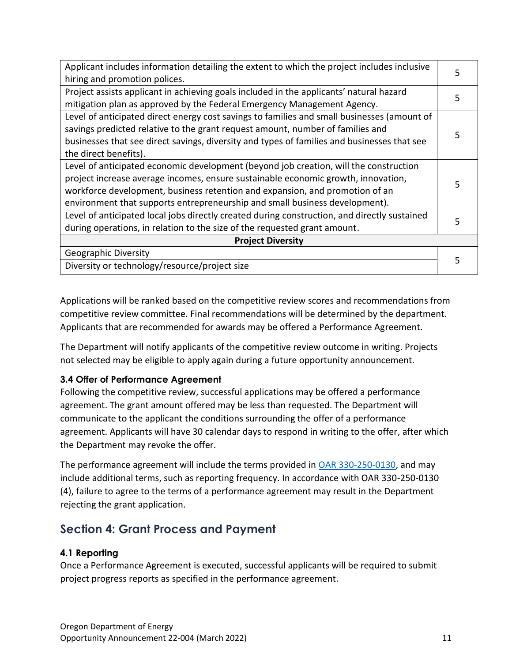| Applicant includes information detailing the extent to which the project includes inclusive  |   |  |
|----------------------------------------------------------------------------------------------|---|--|
| hiring and promotion polices.                                                                |   |  |
| Project assists applicant in achieving goals included in the applicants' natural hazard      |   |  |
| mitigation plan as approved by the Federal Emergency Management Agency.                      |   |  |
| Level of anticipated direct energy cost savings to families and small businesses (amount of  |   |  |
| savings predicted relative to the grant request amount, number of families and               |   |  |
| businesses that see direct savings, diversity and types of families and businesses that see  |   |  |
| the direct benefits).                                                                        |   |  |
| Level of anticipated economic development (beyond job creation, will the construction        |   |  |
| project increase average incomes, ensure sustainable economic growth, innovation,            |   |  |
| workforce development, business retention and expansion, and promotion of an                 |   |  |
| environment that supports entrepreneurship and small business development).                  |   |  |
| Level of anticipated local jobs directly created during construction, and directly sustained | 5 |  |
| during operations, in relation to the size of the requested grant amount.                    |   |  |
| <b>Project Diversity</b>                                                                     |   |  |
| Geographic Diversity                                                                         |   |  |
| Diversity or technology/resource/project size                                                |   |  |
|                                                                                              |   |  |

Applications will be ranked based on the competitive review scores and recommendations from competitive review committee. Final recommendations will be determined by the department. Applicants that are recommended for awards may be offered a Performance Agreement.

The Department will notify applicants of the competitive review outcome in writing. Projects not selected may be eligible to apply again during a future opportunity announcement.

# <span id="page-10-0"></span>**3.4 Offer of Performance Agreement**

Following the competitive review, successful applications may be offered a performance agreement. The grant amount offered may be less than requested. The Department will communicate to the applicant the conditions surrounding the offer of a performance agreement. Applicants will have 30 calendar days to respond in writing to the offer, after which the Department may revoke the offer.

The performance agreement will include the terms provided in [OAR 330-250-0130,](https://secure.sos.state.or.us/oard/viewSingleRule.action?ruleVrsnRsn=286915) and may include additional terms, such as reporting frequency. In accordance with OAR 330-250-0130 (4), failure to agree to the terms of a performance agreement may result in the Department rejecting the grant application.

# <span id="page-10-1"></span>**Section 4: Grant Process and Payment**

#### <span id="page-10-2"></span>**4.1 Reporting**

Once a Performance Agreement is executed, successful applicants will be required to submit project progress reports as specified in the performance agreement.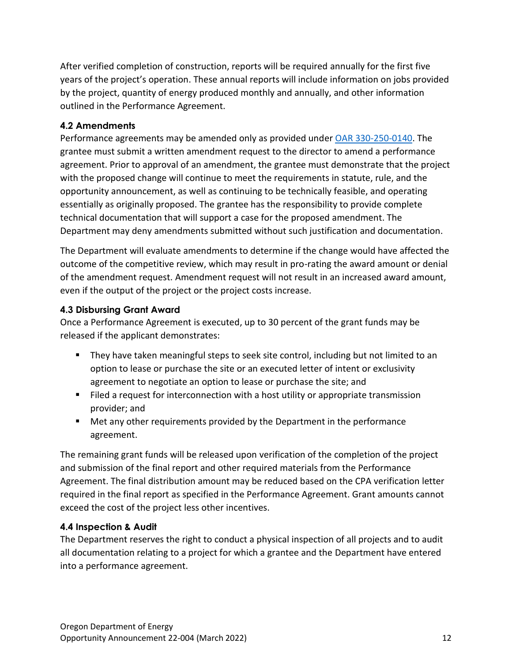After verified completion of construction, reports will be required annually for the first five years of the project's operation. These annual reports will include information on jobs provided by the project, quantity of energy produced monthly and annually, and other information outlined in the Performance Agreement.

# <span id="page-11-0"></span>**4.2 Amendments**

Performance agreements may be amended only as provided under [OAR 330-250-0140.](https://secure.sos.state.or.us/oard/viewSingleRule.action?ruleVrsnRsn=286916) The grantee must submit a written amendment request to the director to amend a performance agreement. Prior to approval of an amendment, the grantee must demonstrate that the project with the proposed change will continue to meet the requirements in statute, rule, and the opportunity announcement, as well as continuing to be technically feasible, and operating essentially as originally proposed. The grantee has the responsibility to provide complete technical documentation that will support a case for the proposed amendment. The Department may deny amendments submitted without such justification and documentation.

The Department will evaluate amendments to determine if the change would have affected the outcome of the competitive review, which may result in pro-rating the award amount or denial of the amendment request. Amendment request will not result in an increased award amount, even if the output of the project or the project costs increase.

# <span id="page-11-1"></span>**4.3 Disbursing Grant Award**

Once a Performance Agreement is executed, up to 30 percent of the grant funds may be released if the applicant demonstrates:

- They have taken meaningful steps to seek site control, including but not limited to an option to lease or purchase the site or an executed letter of intent or exclusivity agreement to negotiate an option to lease or purchase the site; and
- Filed a request for interconnection with a host utility or appropriate transmission provider; and
- Met any other requirements provided by the Department in the performance agreement.

The remaining grant funds will be released upon verification of the completion of the project and submission of the final report and other required materials from the Performance Agreement. The final distribution amount may be reduced based on the CPA verification letter required in the final report as specified in the Performance Agreement. Grant amounts cannot exceed the cost of the project less other incentives.

# <span id="page-11-2"></span>**4.4 Inspection & Audit**

The Department reserves the right to conduct a physical inspection of all projects and to audit all documentation relating to a project for which a grantee and the Department have entered into a performance agreement.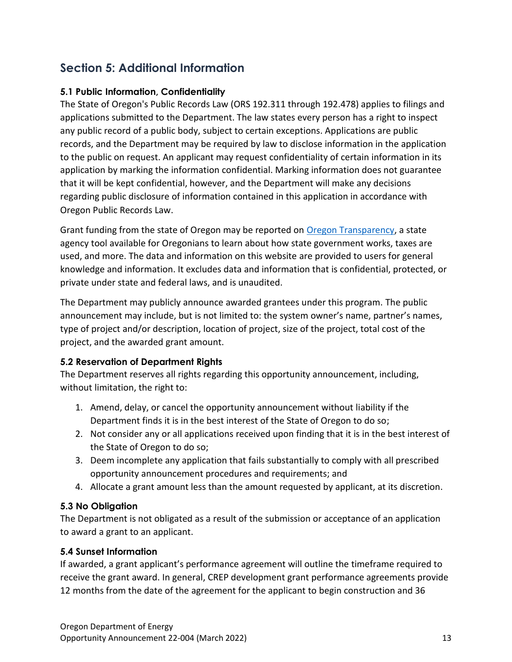# <span id="page-12-0"></span>**Section 5: Additional Information**

# <span id="page-12-1"></span>**5.1 Public Information, Confidentiality**

The State of Oregon's Public Records Law (ORS 192.311 through 192.478) applies to filings and applications submitted to the Department. The law states every person has a right to inspect any public record of a public body, subject to certain exceptions. Applications are public records, and the Department may be required by law to disclose information in the application to the public on request. An applicant may request confidentiality of certain information in its application by marking the information confidential. Marking information does not guarantee that it will be kept confidential, however, and the Department will make any decisions regarding public disclosure of information contained in this application in accordance with Oregon Public Records Law.

Grant funding from the state of Oregon may be reported on [Oregon Transparency,](https://www.oregon.gov/transparency/pages/index.aspx) a state agency tool available for Oregonians to learn about how state government works, taxes are used, and more. The data and information on this website are provided to users for general knowledge and information. It excludes data and information that is confidential, protected, or private under state and federal laws, and is unaudited.

The Department may publicly announce awarded grantees under this program. The public announcement may include, but is not limited to: the system owner's name, partner's names, type of project and/or description, location of project, size of the project, total cost of the project, and the awarded grant amount.

# <span id="page-12-2"></span>**5.2 Reservation of Department Rights**

The Department reserves all rights regarding this opportunity announcement, including, without limitation, the right to:

- 1. Amend, delay, or cancel the opportunity announcement without liability if the Department finds it is in the best interest of the State of Oregon to do so;
- 2. Not consider any or all applications received upon finding that it is in the best interest of the State of Oregon to do so;
- 3. Deem incomplete any application that fails substantially to comply with all prescribed opportunity announcement procedures and requirements; and
- 4. Allocate a grant amount less than the amount requested by applicant, at its discretion.

# <span id="page-12-3"></span>**5.3 No Obligation**

The Department is not obligated as a result of the submission or acceptance of an application to award a grant to an applicant.

#### <span id="page-12-4"></span>**5.4 Sunset Information**

If awarded, a grant applicant's performance agreement will outline the timeframe required to receive the grant award. In general, CREP development grant performance agreements provide 12 months from the date of the agreement for the applicant to begin construction and 36